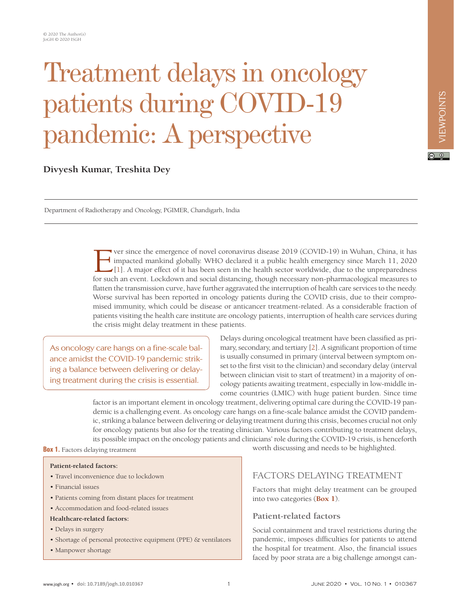# Treatment delays in oncology patients during COVID-19 pandemic: A perspective

# **Divyesh Kumar, Treshita Dey**

Department of Radiotherapy and Oncology, PGIMER, Chandigarh, India

Ver since the emergence of novel coronavirus disease 2019 (COVID-19) in Wuhan, China, it has<br>impacted mankind globally. WHO declared it a public health emergency since March 11, 2020<br>[1]. A major effect of it has been seen impacted mankind globally. WHO declared it a public health emergency since March 11, 2020  $\bigcup_{i=1}^{\infty}$ [1]. A major effect of it has been seen in the health sector worldwide, due to the unpreparedness for such an event. Lockdown and social distancing, though necessary non-pharmacological measures to flatten the transmission curve, have further aggravated the interruption of health care services to the needy. Worse survival has been reported in oncology patients during the COVID crisis, due to their compromised immunity, which could be disease or anticancer treatment-related. As a considerable fraction of patients visiting the health care institute are oncology patients, interruption of health care services during the crisis might delay treatment in these patients.

As oncology care hangs on a fine-scale balance amidst the COVID-19 pandemic striking a balance between delivering or delaying treatment during the crisis is essential.

Delays during oncological treatment have been classified as primary, secondary, and tertiary [\[2\]](#page-3-1). A significant proportion of time is usually consumed in primary (interval between symptom onset to the first visit to the clinician) and secondary delay (interval between clinician visit to start of treatment) in a majority of oncology patients awaiting treatment, especially in low-middle income countries (LMIC) with huge patient burden. Since time

factor is an important element in oncology treatment, delivering optimal care during the COVID-19 pandemic is a challenging event. As oncology care hangs on a fine-scale balance amidst the COVID pandemic, striking a balance between delivering or delaying treatment during this crisis, becomes crucial not only for oncology patients but also for the treating clinician. Various factors contributing to treatment delays, its possible impact on the oncology patients and clinicians' role during the COVID-19 crisis, is henceforth

#### <span id="page-0-0"></span>**Box 1.** Factors delaying treatment

#### **Patient-related factors:**

- Travel inconvenience due to lockdown
- Financial issues
- Patients coming from distant places for treatment
- Accommodation and food-related issues

#### **Healthcare-related factors:**

- Delays in surgery
- Shortage of personal protective equipment (PPE) & ventilators
- Manpower shortage

worth discussing and needs to be highlighted.

## FACTORS DELAYING TREATMENT

Factors that might delay treatment can be grouped into two categories (**[Box 1](#page-0-0)**).

#### **Patient-related factors**

Social containment and travel restrictions during the pandemic, imposes difficulties for patients to attend the hospital for treatment. Also, the financial issues faced by poor strata are a big challenge amongst can $\boxed{6}$  0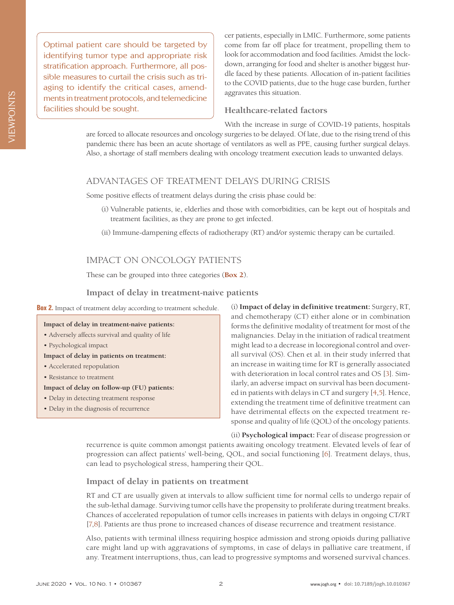Optimal patient care should be targeted by identifying tumor type and appropriate risk stratification approach. Furthermore, all possible measures to curtail the crisis such as triaging to identify the critical cases, amendments in treatment protocols, and telemedicine facilities should be sought.

cer patients, especially in LMIC. Furthermore, some patients come from far off place for treatment, propelling them to look for accommodation and food facilities. Amidst the lockdown, arranging for food and shelter is another biggest hurdle faced by these patients. Allocation of in-patient facilities to the COVID patients, due to the huge case burden, further aggravates this situation.

### **Healthcare-related factors**

With the increase in surge of COVID-19 patients, hospitals are forced to allocate resources and oncology surgeries to be delayed. Of late, due to the rising trend of this pandemic there has been an acute shortage of ventilators as well as PPE, causing further surgical delays.

Also, a shortage of staff members dealing with oncology treatment execution leads to unwanted delays.

## ADVANTAGES OF TREATMENT DELAYS DURING CRISIS

Some positive effects of treatment delays during the crisis phase could be:

- (i) Vulnerable patients, ie, elderlies and those with comorbidities, can be kept out of hospitals and treatment facilities, as they are prone to get infected.
- (ii) Immune-dampening effects of radiotherapy (RT) and/or systemic therapy can be curtailed.

# IMPACT ON ONCOLOGY PATIENTS

These can be grouped into three categories (**[Box 2](#page-1-0)**).

## **Impact of delay in treatment-naive patients**

#### <span id="page-1-0"></span>**Box 2.** Impact of treatment delay according to treatment schedule.

#### **Impact of delay in treatment-naive patients:**

- Adversely affects survival and quality of life
- Psychological impact

#### **Impact of delay in patients on treatment:**

- Accelerated repopulation
- Resistance to treatment
- **Impact of delay on follow-up (FU) patients:**
- Delay in detecting treatment response
- Delay in the diagnosis of recurrence

(i) **Impact of delay in definitive treatment:** Surgery, RT, and chemotherapy (CT) either alone or in combination forms the definitive modality of treatment for most of the malignancies. Delay in the initiation of radical treatment might lead to a decrease in locoregional control and overall survival (OS). Chen et al. in their study inferred that an increase in waiting time for RT is generally associated with deterioration in local control rates and OS [\[3\]](#page-3-2). Similarly, an adverse impact on survival has been documented in patients with delays in CT and surgery [\[4](#page-3-3),[5\]](#page-3-4). Hence, extending the treatment time of definitive treatment can have detrimental effects on the expected treatment response and quality of life (QOL) of the oncology patients.

(ii) **Psychological impact:** Fear of disease progression or recurrence is quite common amongst patients awaiting oncology treatment. Elevated levels of fear of progression can affect patients' well-being, QOL, and social functioning [\[6\]](#page-3-5). Treatment delays, thus, can lead to psychological stress, hampering their QOL.

#### **Impact of delay in patients on treatment**

RT and CT are usually given at intervals to allow sufficient time for normal cells to undergo repair of the sub-lethal damage. Surviving tumor cells have the propensity to proliferate during treatment breaks. Chances of accelerated repopulation of tumor cells increases in patients with delays in ongoing CT/RT [\[7,](#page-3-6)[8](#page-3-7)]. Patients are thus prone to increased chances of disease recurrence and treatment resistance.

Also, patients with terminal illness requiring hospice admission and strong opioids during palliative care might land up with aggravations of symptoms, in case of delays in palliative care treatment, if any. Treatment interruptions, thus, can lead to progressive symptoms and worsened survival chances.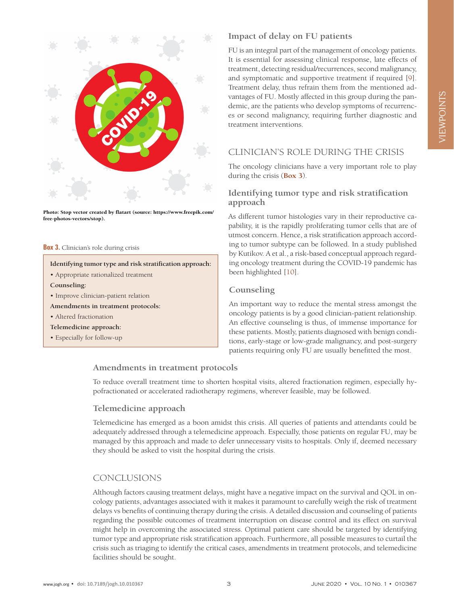

Photo: Stop vector created by flatart (source: [https://www.freepik.com/](https://www.freepik.com/free-photos-vectors/stop) [free-photos-vectors/stop](https://www.freepik.com/free-photos-vectors/stop)).

#### <span id="page-2-0"></span>**Box 3.** Clinician's role during crisis

#### **Identifying tumor type and risk stratification approach:**

• Appropriate rationalized treatment

**Counseling:**

- Improve clinician-patient relation
- **Amendments in treatment protocols:**
- Altered fractionation
- **Telemedicine approach:**
- Especially for follow-up

## **Impact of delay on FU patients**

FU is an integral part of the management of oncology patients. It is essential for assessing clinical response, late effects of treatment, detecting residual/recurrences, second malignancy, and symptomatic and supportive treatment if required [[9\]](#page-3-8). Treatment delay, thus refrain them from the mentioned advantages of FU. Mostly affected in this group during the pandemic, are the patients who develop symptoms of recurrences or second malignancy, requiring further diagnostic and treatment interventions.

## CLINICIAN'S ROLE DURING THE CRISIS

The oncology clinicians have a very important role to play during the crisis (**[Box 3](#page-2-0)**).

## **Identifying tumor type and risk stratification approach**

As different tumor histologies vary in their reproductive capability, it is the rapidly proliferating tumor cells that are of utmost concern. Hence, a risk stratification approach according to tumor subtype can be followed. In a study published by Kutikov. A et al., a risk-based conceptual approach regarding oncology treatment during the COVID-19 pandemic has been highlighted [[10](#page-3-9)].

#### **Counseling**

An important way to reduce the mental stress amongst the oncology patients is by a good clinician-patient relationship. An effective counseling is thus, of immense importance for these patients. Mostly, patients diagnosed with benign conditions, early-stage or low-grade malignancy, and post-surgery patients requiring only FU are usually benefitted the most.

## **Amendments in treatment protocols**

To reduce overall treatment time to shorten hospital visits, altered fractionation regimen, especially hypofractionated or accelerated radiotherapy regimens, wherever feasible, may be followed.

#### **Telemedicine approach**

Telemedicine has emerged as a boon amidst this crisis. All queries of patients and attendants could be adequately addressed through a telemedicine approach. Especially, those patients on regular FU, may be managed by this approach and made to defer unnecessary visits to hospitals. Only if, deemed necessary they should be asked to visit the hospital during the crisis.

## CONCLUSIONS

Although factors causing treatment delays, might have a negative impact on the survival and QOL in oncology patients, advantages associated with it makes it paramount to carefully weigh the risk of treatment delays vs benefits of continuing therapy during the crisis. A detailed discussion and counseling of patients regarding the possible outcomes of treatment interruption on disease control and its effect on survival might help in overcoming the associated stress. Optimal patient care should be targeted by identifying tumor type and appropriate risk stratification approach. Furthermore, all possible measures to curtail the crisis such as triaging to identify the critical cases, amendments in treatment protocols, and telemedicine facilities should be sought.